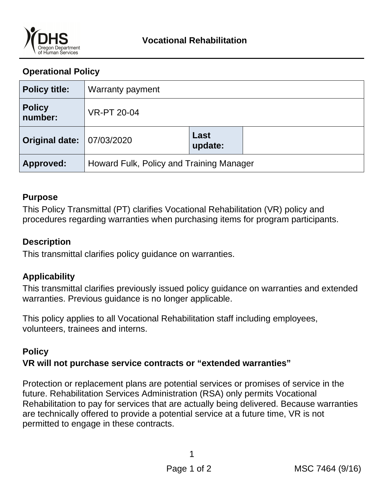

# **Operational Policy**

| <b>Policy title:</b>     | Warranty payment                         |                 |  |
|--------------------------|------------------------------------------|-----------------|--|
| <b>Policy</b><br>number: | <b>VR-PT 20-04</b>                       |                 |  |
| <b>Original date:</b>    | 07/03/2020                               | Last<br>update: |  |
| Approved:                | Howard Fulk, Policy and Training Manager |                 |  |

#### **Purpose**

This Policy Transmittal (PT) clarifies Vocational Rehabilitation (VR) policy and procedures regarding warranties when purchasing items for program participants.

#### **Description**

This transmittal clarifies policy guidance on warranties.

## **Applicability**

This transmittal clarifies previously issued policy guidance on warranties and extended warranties. Previous guidance is no longer applicable.

This policy applies to all Vocational Rehabilitation staff including employees, volunteers, trainees and interns.

## **Policy**

## **VR will not purchase service contracts or "extended warranties"**

Protection or replacement plans are potential services or promises of service in the future. Rehabilitation Services Administration (RSA) only permits Vocational Rehabilitation to pay for services that are actually being delivered. Because warranties are technically offered to provide a potential service at a future time, VR is not permitted to engage in these contracts.